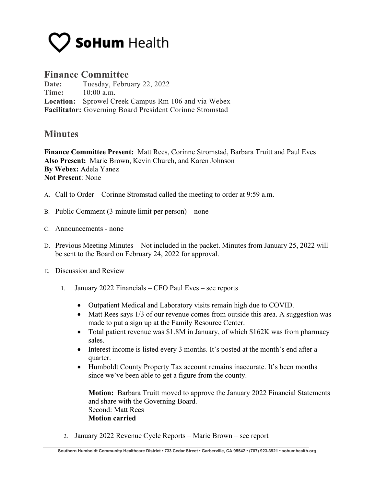

## **Finance Committee**

**Date:** Tuesday, February 22, 2022 **Time:** 10:00 a.m. **Location:** Sprowel Creek Campus Rm 106 and via Webex **Facilitator:** Governing Board President Corinne Stromstad

## **Minutes**

**Finance Committee Present:** Matt Rees, Corinne Stromstad, Barbara Truitt and Paul Eves **Also Present:** Marie Brown, Kevin Church, and Karen Johnson **By Webex:** Adela Yanez **Not Present**: None

- A. Call to Order Corinne Stromstad called the meeting to order at 9:59 a.m.
- B. Public Comment (3-minute limit per person) none
- C. Announcements none
- D. Previous Meeting Minutes Not included in the packet. Minutes from January 25, 2022 will be sent to the Board on February 24, 2022 for approval.
- E. Discussion and Review
	- 1. January 2022 Financials CFO Paul Eves see reports
		- Outpatient Medical and Laboratory visits remain high due to COVID.
		- Matt Rees says 1/3 of our revenue comes from outside this area. A suggestion was made to put a sign up at the Family Resource Center.
		- Total patient revenue was \$1.8M in January, of which \$162K was from pharmacy sales.
		- Interest income is listed every 3 months. It's posted at the month's end after a quarter.
		- Humboldt County Property Tax account remains inaccurate. It's been months since we've been able to get a figure from the county.

**Motion:** Barbara Truitt moved to approve the January 2022 Financial Statements and share with the Governing Board. Second: Matt Rees **Motion carried**

2. January 2022 Revenue Cycle Reports – Marie Brown – see report

**Southern Humboldt Community Healthcare District • 733 Cedar Street • Garberville, CA 95542 • (707) 923-3921 • sohumhealth.org**